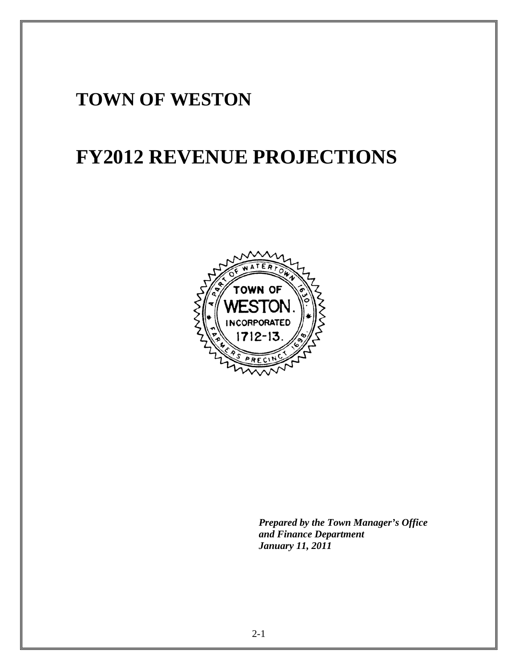# **TOWN OF WESTON**

# **FY2012 REVENUE PROJECTIONS**



*Prepared by the Town Manager's Office and Finance Department January 11, 2011*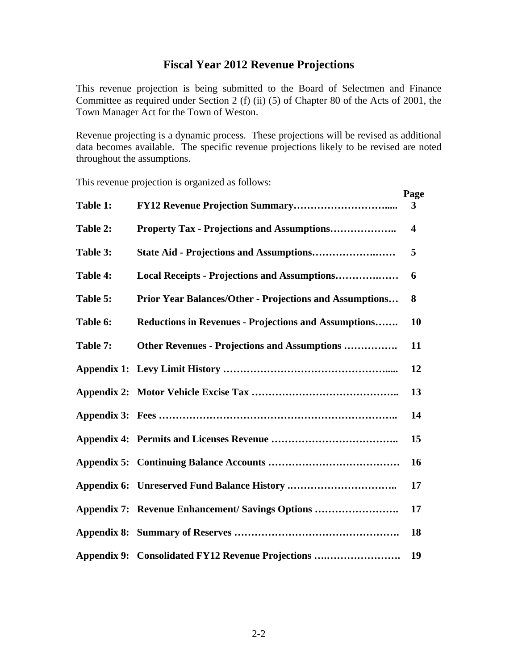#### **Fiscal Year 2012 Revenue Projections**

This revenue projection is being submitted to the Board of Selectmen and Finance Committee as required under Section 2 (f) (ii) (5) of Chapter 80 of the Acts of 2001, the Town Manager Act for the Town of Weston.

Revenue projecting is a dynamic process. These projections will be revised as additional data becomes available. The specific revenue projections likely to be revised are noted throughout the assumptions.

This revenue projection is organized as follows:

|          |                                                                | Page                    |
|----------|----------------------------------------------------------------|-------------------------|
| Table 1: |                                                                | 3                       |
| Table 2: | <b>Property Tax - Projections and Assumptions</b>              | $\overline{\mathbf{4}}$ |
| Table 3: |                                                                | 5                       |
| Table 4: | Local Receipts - Projections and Assumptions                   | 6                       |
| Table 5: | <b>Prior Year Balances/Other - Projections and Assumptions</b> | 8                       |
| Table 6: | <b>Reductions in Revenues - Projections and Assumptions</b>    | 10                      |
| Table 7: | <b>Other Revenues - Projections and Assumptions </b>           | 11                      |
|          |                                                                | 12                      |
|          |                                                                | 13                      |
|          |                                                                | 14                      |
|          |                                                                | 15                      |
|          |                                                                | 16                      |
|          |                                                                | 17                      |
|          | Appendix 7: Revenue Enhancement/Savings Options                | 17                      |
|          |                                                                | 18                      |
|          | Appendix 9: Consolidated FY12 Revenue Projections              | 19                      |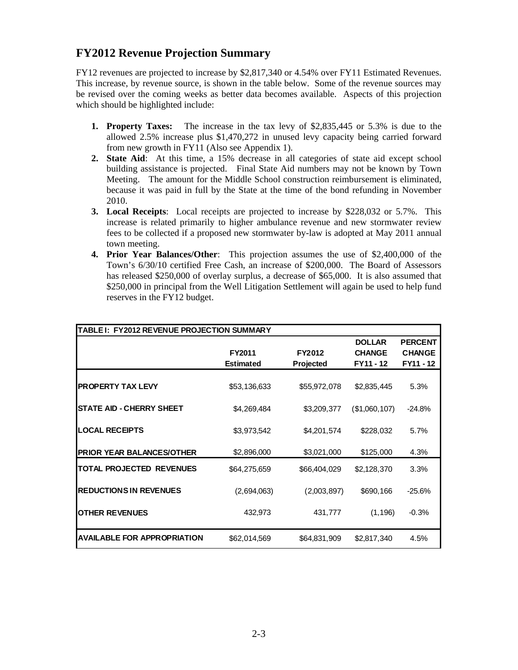# **FY2012 Revenue Projection Summary**

FY12 revenues are projected to increase by \$2,817,340 or 4.54% over FY11 Estimated Revenues. This increase, by revenue source, is shown in the table below. Some of the revenue sources may be revised over the coming weeks as better data becomes available. Aspects of this projection which should be highlighted include:

- **1. Property Taxes:** The increase in the tax levy of \$2,835,445 or 5.3% is due to the allowed 2.5% increase plus \$1,470,272 in unused levy capacity being carried forward from new growth in FY11 (Also see Appendix 1).
- **2. State Aid**: At this time, a 15% decrease in all categories of state aid except school building assistance is projected. Final State Aid numbers may not be known by Town Meeting. The amount for the Middle School construction reimbursement is eliminated, because it was paid in full by the State at the time of the bond refunding in November 2010.
- **3. Local Receipts**: Local receipts are projected to increase by \$228,032 or 5.7%. This increase is related primarily to higher ambulance revenue and new stormwater review fees to be collected if a proposed new stormwater by-law is adopted at May 2011 annual town meeting.
- **4. Prior Year Balances/Other**: This projection assumes the use of \$2,400,000 of the Town's 6/30/10 certified Free Cash, an increase of \$200,000. The Board of Assessors has released \$250,000 of overlay surplus, a decrease of \$65,000. It is also assumed that \$250,000 in principal from the Well Litigation Settlement will again be used to help fund reserves in the FY12 budget.

| TABLE I: FY2012 REVENUE PROJECTION SUMMARY |                            |                            |                                             |                                              |
|--------------------------------------------|----------------------------|----------------------------|---------------------------------------------|----------------------------------------------|
|                                            | FY2011<br><b>Estimated</b> | FY2012<br><b>Projected</b> | <b>DOLLAR</b><br><b>CHANGE</b><br>FY11 - 12 | <b>PERCENT</b><br><b>CHANGE</b><br>FY11 - 12 |
| <b>PROPERTY TAX LEVY</b>                   | \$53,136,633               | \$55,972,078               | \$2,835,445                                 | 5.3%                                         |
| <b>STATE AID - CHERRY SHEET</b>            | \$4,269,484                | \$3,209,377                | (\$1,060,107)                               | $-24.8%$                                     |
| <b>LOCAL RECEIPTS</b>                      | \$3,973,542                | \$4,201,574                | \$228,032                                   | 5.7%                                         |
| <b>PRIOR YEAR BALANCES/OTHER</b>           | \$2,896,000                | \$3,021,000                | \$125,000                                   | 4.3%                                         |
| TOTAL PROJECTED REVENUES                   | \$64,275,659               | \$66,404,029               | \$2,128,370                                 | 3.3%                                         |
| <b>REDUCTIONS IN REVENUES</b>              | (2,694,063)                | (2,003,897)                | \$690,166                                   | $-25.6%$                                     |
| <b>OTHER REVENUES</b>                      | 432,973                    | 431,777                    | (1, 196)                                    | $-0.3%$                                      |
| AVAILABLE FOR APPROPRIATION                | \$62,014,569               | \$64,831,909               | \$2,817,340                                 | 4.5%                                         |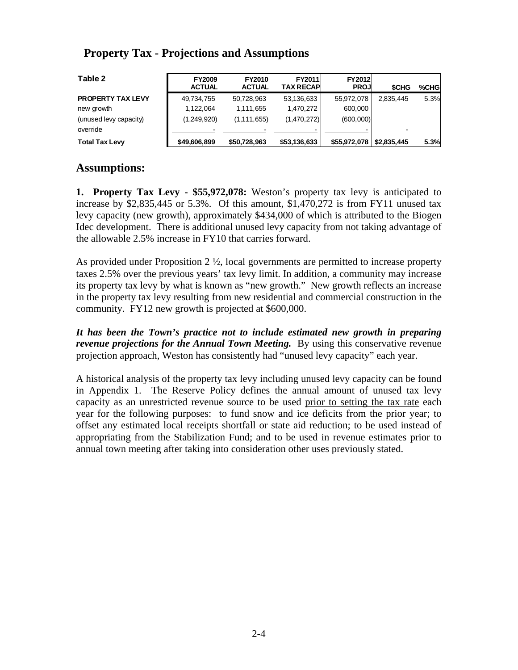### **Property Tax - Projections and Assumptions**

| Table 2                  | <b>FY2009</b><br><b>ACTUAL</b> | <b>FY2010</b><br><b>ACTUAL</b> | <b>FY2011</b><br><b>TAX RECAP</b> | <b>FY2012</b><br><b>PROJI</b> | <b>SCHG</b>               | %CHG |
|--------------------------|--------------------------------|--------------------------------|-----------------------------------|-------------------------------|---------------------------|------|
| <b>PROPERTY TAX LEVY</b> | 49,734,755                     | 50.728.963                     | 53,136,633                        | 55,972,078                    | 2.835.445                 | 5.3% |
| new growth               | 1.122.064                      | 1.111.655                      | 1.470.272                         | 600,000                       |                           |      |
| (unused levy capacity)   | (1,249,920)                    | (1, 111, 655)                  | (1,470,272)                       | (600,000)                     |                           |      |
| override                 |                                |                                |                                   |                               |                           |      |
| <b>Total Tax Levy</b>    | \$49,606,899                   | \$50,728,963                   | \$53,136,633                      | \$55,972,078                  | $\frac{1}{2}$ \$2,835,445 | 5.3% |

#### **Assumptions:**

**1. Property Tax Levy - \$55,972,078:** Weston's property tax levy is anticipated to increase by \$2,835,445 or 5.3%. Of this amount, \$1,470,272 is from FY11 unused tax levy capacity (new growth), approximately \$434,000 of which is attributed to the Biogen Idec development. There is additional unused levy capacity from not taking advantage of the allowable 2.5% increase in FY10 that carries forward.

As provided under Proposition  $2 \frac{1}{2}$ , local governments are permitted to increase property taxes 2.5% over the previous years' tax levy limit. In addition, a community may increase its property tax levy by what is known as "new growth." New growth reflects an increase in the property tax levy resulting from new residential and commercial construction in the community. FY12 new growth is projected at \$600,000.

*It has been the Town's practice not to include estimated new growth in preparing revenue projections for the Annual Town Meeting.* By using this conservative revenue projection approach, Weston has consistently had "unused levy capacity" each year.

A historical analysis of the property tax levy including unused levy capacity can be found in Appendix 1. The Reserve Policy defines the annual amount of unused tax levy capacity as an unrestricted revenue source to be used prior to setting the tax rate each year for the following purposes: to fund snow and ice deficits from the prior year; to offset any estimated local receipts shortfall or state aid reduction; to be used instead of appropriating from the Stabilization Fund; and to be used in revenue estimates prior to annual town meeting after taking into consideration other uses previously stated.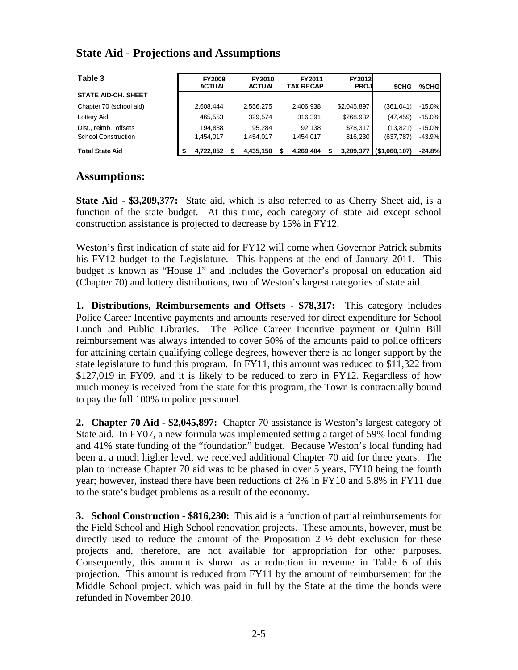### **State Aid - Projections and Assumptions**

| Table 3                    | <b>FY2009</b><br><b>ACTUAL</b> | FY2010<br><b>ACTUAL</b> | <b>FY2011</b><br>TAX RECAPI | <b>FY2012</b><br><b>PROJI</b> | <b>SCHG</b>   | %CHG     |
|----------------------------|--------------------------------|-------------------------|-----------------------------|-------------------------------|---------------|----------|
| <b>STATE AID-CH, SHEET</b> |                                |                         |                             |                               |               |          |
| Chapter 70 (school aid)    | 2,608,444                      | 2,556,275               | 2,406,938                   | \$2,045,897                   | (361, 041)    | $-15.0%$ |
| Lottery Aid                | 465,553                        | 329,574                 | 316,391                     | \$268,932                     | (47, 459)     | $-15.0%$ |
| Dist., reimb., offsets     | 194.838                        | 95.284                  | 92.138                      | \$78,317                      | (13, 821)     | $-15.0%$ |
| <b>School Construction</b> | 1,454,017                      | 1,454,017               | 1,454,017                   | 816,230                       | (637, 787)    | $-43.9%$ |
| <b>Total State Aid</b>     | 4.722.852                      | 4.435.150               | 4,269,484                   | 3.209.377                     | (\$1,060,107) | $-24.8%$ |

#### **Assumptions:**

**State Aid - \$3,209,377:** State aid, which is also referred to as Cherry Sheet aid, is a function of the state budget. At this time, each category of state aid except school construction assistance is projected to decrease by 15% in FY12.

Weston's first indication of state aid for FY12 will come when Governor Patrick submits his FY12 budget to the Legislature. This happens at the end of January 2011. This budget is known as "House 1" and includes the Governor's proposal on education aid (Chapter 70) and lottery distributions, two of Weston's largest categories of state aid.

**1. Distributions, Reimbursements and Offsets - \$78,317:** This category includes Police Career Incentive payments and amounts reserved for direct expenditure for School Lunch and Public Libraries. The Police Career Incentive payment or Quinn Bill reimbursement was always intended to cover 50% of the amounts paid to police officers for attaining certain qualifying college degrees, however there is no longer support by the state legislature to fund this program. In FY11, this amount was reduced to \$11,322 from \$127,019 in FY09, and it is likely to be reduced to zero in FY12. Regardless of how much money is received from the state for this program, the Town is contractually bound to pay the full 100% to police personnel.

**2. Chapter 70 Aid - \$2,045,897:** Chapter 70 assistance is Weston's largest category of State aid. In FY07, a new formula was implemented setting a target of 59% local funding and 41% state funding of the "foundation" budget. Because Weston's local funding had been at a much higher level, we received additional Chapter 70 aid for three years. The plan to increase Chapter 70 aid was to be phased in over 5 years, FY10 being the fourth year; however, instead there have been reductions of 2% in FY10 and 5.8% in FY11 due to the state's budget problems as a result of the economy.

**3. School Construction - \$816,230:** This aid is a function of partial reimbursements for the Field School and High School renovation projects. These amounts, however, must be directly used to reduce the amount of the Proposition  $2 \frac{1}{2}$  debt exclusion for these projects and, therefore, are not available for appropriation for other purposes. Consequently, this amount is shown as a reduction in revenue in Table 6 of this projection. This amount is reduced from FY11 by the amount of reimbursement for the Middle School project, which was paid in full by the State at the time the bonds were refunded in November 2010.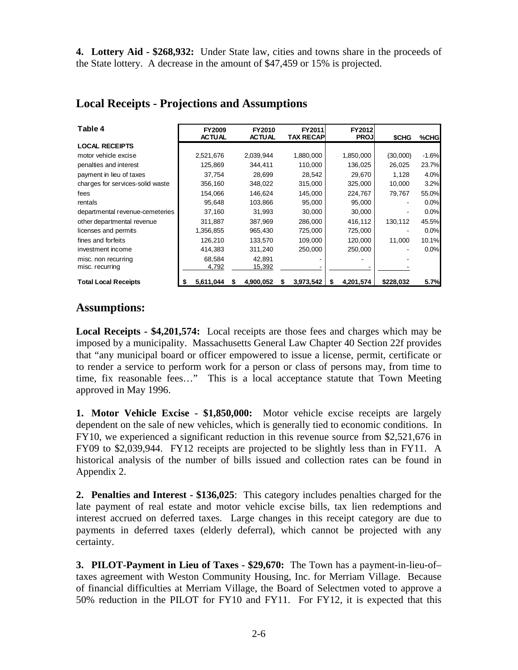**4. Lottery Aid - \$268,932:** Under State law, cities and towns share in the proceeds of the State lottery. A decrease in the amount of \$47,459 or 15% is projected.

| Table 4                          | <b>FY2009</b><br><b>ACTUAL</b> |   | FY2010<br><b>ACTUAL</b> |   | FY2011<br><b>TAX RECAP</b> |   | FY2012<br><b>PROJ</b> | \$CHG     | %CHG    |
|----------------------------------|--------------------------------|---|-------------------------|---|----------------------------|---|-----------------------|-----------|---------|
| <b>LOCAL RECEIPTS</b>            |                                |   |                         |   |                            |   |                       |           |         |
| motor vehicle excise             | 2,521,676                      |   | 2,039,944               |   | 1,880,000                  |   | 1,850,000             | (30,000)  | $-1.6%$ |
| penalties and interest           | 125,869                        |   | 344,411                 |   | 110,000                    |   | 136,025               | 26,025    | 23.7%   |
| payment in lieu of taxes         | 37,754                         |   | 28,699                  |   | 28,542                     |   | 29,670                | 1,128     | 4.0%    |
| charges for services-solid waste | 356,160                        |   | 348,022                 |   | 315,000                    |   | 325,000               | 10,000    | 3.2%    |
| fees                             | 154,066                        |   | 146.624                 |   | 145,000                    |   | 224,767               | 79,767    | 55.0%   |
| rentals                          | 95,648                         |   | 103,866                 |   | 95,000                     |   | 95,000                |           | 0.0%    |
| departmental revenue-cemeteries  | 37,160                         |   | 31,993                  |   | 30,000                     |   | 30,000                |           | 0.0%    |
| other departmental revenue       | 311,887                        |   | 387,969                 |   | 286,000                    |   | 416,112               | 130,112   | 45.5%   |
| licenses and permits             | 1,356,855                      |   | 965,430                 |   | 725,000                    |   | 725,000               |           | 0.0%    |
| fines and forfeits               | 126,210                        |   | 133,570                 |   | 109,000                    |   | 120,000               | 11,000    | 10.1%   |
| investment income                | 414,383                        |   | 311,240                 |   | 250,000                    |   | 250,000               |           | 0.0%    |
| misc. non recurring              | 68.584                         |   | 42.891                  |   |                            |   |                       |           |         |
| misc. recurring                  | 4,792                          |   | 15,392                  |   |                            |   |                       |           |         |
| <b>Total Local Receipts</b>      | 5,611,044                      | S | 4,900,052               | S | 3,973,542                  | S | 4,201,574             | \$228,032 | 5.7%    |

### **Local Receipts - Projections and Assumptions**

#### **Assumptions:**

**Local Receipts - \$4,201,574:** Local receipts are those fees and charges which may be imposed by a municipality. Massachusetts General Law Chapter 40 Section 22f provides that "any municipal board or officer empowered to issue a license, permit, certificate or to render a service to perform work for a person or class of persons may, from time to time, fix reasonable fees…" This is a local acceptance statute that Town Meeting approved in May 1996.

**1. Motor Vehicle Excise - \$1,850,000:** Motor vehicle excise receipts are largely dependent on the sale of new vehicles, which is generally tied to economic conditions. In FY10, we experienced a significant reduction in this revenue source from \$2,521,676 in FY09 to \$2,039,944. FY12 receipts are projected to be slightly less than in FY11. A historical analysis of the number of bills issued and collection rates can be found in Appendix 2.

**2. Penalties and Interest - \$136,025**: This category includes penalties charged for the late payment of real estate and motor vehicle excise bills, tax lien redemptions and interest accrued on deferred taxes. Large changes in this receipt category are due to payments in deferred taxes (elderly deferral), which cannot be projected with any certainty.

**3. PILOT-Payment in Lieu of Taxes - \$29,670:** The Town has a payment-in-lieu-of– taxes agreement with Weston Community Housing, Inc. for Merriam Village. Because of financial difficulties at Merriam Village, the Board of Selectmen voted to approve a 50% reduction in the PILOT for FY10 and FY11. For FY12, it is expected that this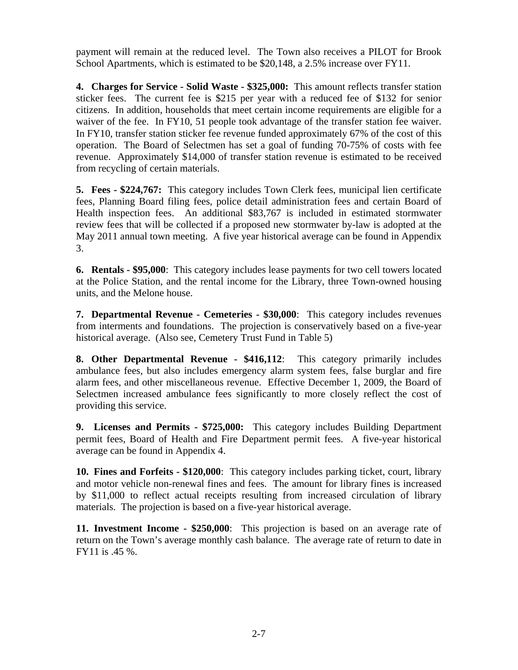payment will remain at the reduced level. The Town also receives a PILOT for Brook School Apartments, which is estimated to be \$20,148, a 2.5% increase over FY11.

**4. Charges for Service - Solid Waste - \$325,000:** This amount reflects transfer station sticker fees. The current fee is \$215 per year with a reduced fee of \$132 for senior citizens. In addition, households that meet certain income requirements are eligible for a waiver of the fee. In FY10, 51 people took advantage of the transfer station fee waiver. In FY10, transfer station sticker fee revenue funded approximately 67% of the cost of this operation. The Board of Selectmen has set a goal of funding 70-75% of costs with fee revenue. Approximately \$14,000 of transfer station revenue is estimated to be received from recycling of certain materials.

**5. Fees - \$224,767:** This category includes Town Clerk fees, municipal lien certificate fees, Planning Board filing fees, police detail administration fees and certain Board of Health inspection fees. An additional \$83,767 is included in estimated stormwater review fees that will be collected if a proposed new stormwater by-law is adopted at the May 2011 annual town meeting. A five year historical average can be found in Appendix 3.

**6. Rentals - \$95,000**: This category includes lease payments for two cell towers located at the Police Station, and the rental income for the Library, three Town-owned housing units, and the Melone house.

**7. Departmental Revenue - Cemeteries - \$30,000**: This category includes revenues from interments and foundations. The projection is conservatively based on a five-year historical average. (Also see, Cemetery Trust Fund in Table 5)

**8. Other Departmental Revenue - \$416,112**: This category primarily includes ambulance fees, but also includes emergency alarm system fees, false burglar and fire alarm fees, and other miscellaneous revenue. Effective December 1, 2009, the Board of Selectmen increased ambulance fees significantly to more closely reflect the cost of providing this service.

**9. Licenses and Permits - \$725,000:** This category includes Building Department permit fees, Board of Health and Fire Department permit fees. A five-year historical average can be found in Appendix 4.

**10. Fines and Forfeits - \$120,000**: This category includes parking ticket, court, library and motor vehicle non-renewal fines and fees. The amount for library fines is increased by \$11,000 to reflect actual receipts resulting from increased circulation of library materials. The projection is based on a five-year historical average.

**11. Investment Income - \$250,000**: This projection is based on an average rate of return on the Town's average monthly cash balance. The average rate of return to date in FY11 is .45 %.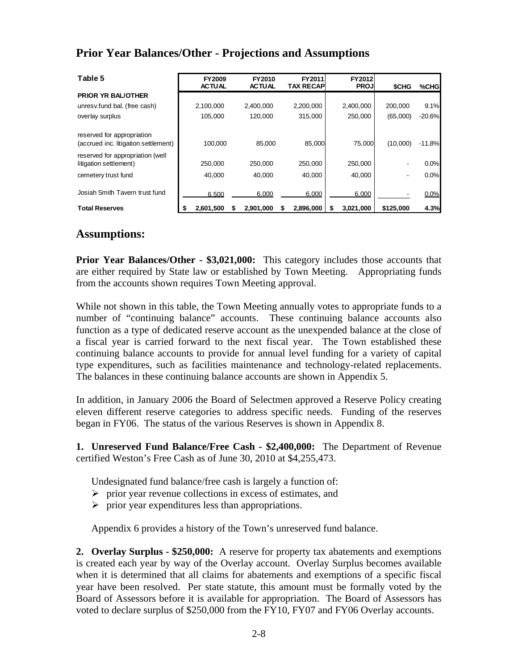## **Prior Year Balances/Other - Projections and Assumptions**

| Table 5                                                            | <b>FY2009</b><br><b>ACTUAL</b> |   | FY2010<br><b>ACTUAL</b> |   | FY2011<br><b>TAX RECAPI</b> | FY2012<br><b>PROJ</b> | <b>SCHG</b> | %CHG     |
|--------------------------------------------------------------------|--------------------------------|---|-------------------------|---|-----------------------------|-----------------------|-------------|----------|
| <b>PRIOR YR BAL/OTHER</b>                                          |                                |   |                         |   |                             |                       |             |          |
| unresv.fund bal. (free cash)                                       | 2,100,000                      |   | 2,400,000               |   | 2,200,000                   | 2,400,000             | 200.000     | 9.1%     |
| overlay surplus                                                    | 105,000                        |   | 120,000                 |   | 315,000                     | 250,000               | (65,000)    | $-20.6%$ |
| reserved for appropriation<br>(accrued inc. litigation settlement) | 100.000                        |   | 85.000                  |   | 85.000                      | 75.000                | (10.000)    | $-11.8%$ |
| reserved for appropriation (well<br>litigation settlement)         | 250,000                        |   | 250,000                 |   | 250,000                     | 250,000               |             | $0.0\%$  |
| cemetery trust fund                                                | 40.000                         |   | 40.000                  |   | 40.000                      | 40,000                |             | 0.0%     |
| Josiah Smith Tavern trust fund                                     | 6.500                          |   | 6.000                   |   | 6.000                       | 6.000                 |             | 0.0%     |
| <b>Total Reserves</b>                                              | 2.601.500<br>S                 | S | 2.901.000               | S | 2.896.000                   | 3.021.000             | \$125,000   | 4.3%     |

#### **Assumptions:**

**Prior Year Balances/Other - \$3,021,000:** This category includes those accounts that are either required by State law or established by Town Meeting. Appropriating funds from the accounts shown requires Town Meeting approval.

While not shown in this table, the Town Meeting annually votes to appropriate funds to a number of "continuing balance" accounts. These continuing balance accounts also function as a type of dedicated reserve account as the unexpended balance at the close of a fiscal year is carried forward to the next fiscal year. The Town established these continuing balance accounts to provide for annual level funding for a variety of capital type expenditures, such as facilities maintenance and technology-related replacements. The balances in these continuing balance accounts are shown in Appendix 5.

In addition, in January 2006 the Board of Selectmen approved a Reserve Policy creating eleven different reserve categories to address specific needs. Funding of the reserves began in FY06. The status of the various Reserves is shown in Appendix 8.

**1. Unreserved Fund Balance/Free Cash - \$2,400,000:** The Department of Revenue certified Weston's Free Cash as of June 30, 2010 at \$4,255,473.

Undesignated fund balance/free cash is largely a function of:

- $\triangleright$  prior year revenue collections in excess of estimates, and
- $\triangleright$  prior year expenditures less than appropriations.

Appendix 6 provides a history of the Town's unreserved fund balance.

**2. Overlay Surplus - \$250,000:** A reserve for property tax abatements and exemptions is created each year by way of the Overlay account. Overlay Surplus becomes available when it is determined that all claims for abatements and exemptions of a specific fiscal year have been resolved. Per state statute, this amount must be formally voted by the Board of Assessors before it is available for appropriation. The Board of Assessors has voted to declare surplus of \$250,000 from the FY10, FY07 and FY06 Overlay accounts.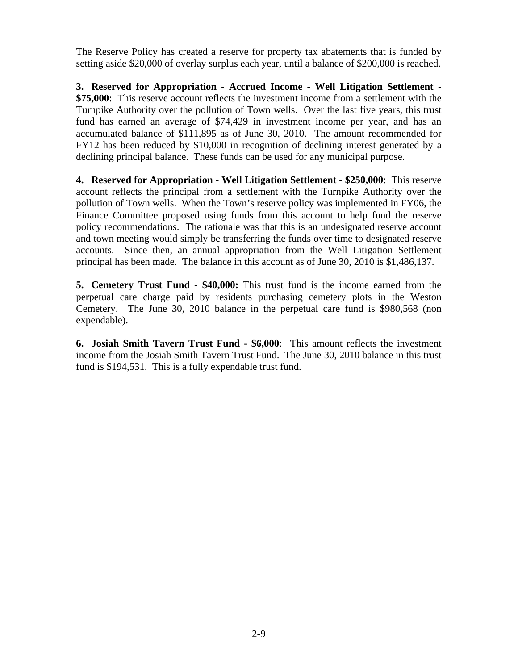The Reserve Policy has created a reserve for property tax abatements that is funded by setting aside \$20,000 of overlay surplus each year, until a balance of \$200,000 is reached.

**3. Reserved for Appropriation - Accrued Income - Well Litigation Settlement - \$75,000**: This reserve account reflects the investment income from a settlement with the Turnpike Authority over the pollution of Town wells. Over the last five years, this trust fund has earned an average of \$74,429 in investment income per year, and has an accumulated balance of \$111,895 as of June 30, 2010. The amount recommended for FY12 has been reduced by \$10,000 in recognition of declining interest generated by a declining principal balance. These funds can be used for any municipal purpose.

**4. Reserved for Appropriation - Well Litigation Settlement - \$250,000**: This reserve account reflects the principal from a settlement with the Turnpike Authority over the pollution of Town wells. When the Town's reserve policy was implemented in FY06, the Finance Committee proposed using funds from this account to help fund the reserve policy recommendations. The rationale was that this is an undesignated reserve account and town meeting would simply be transferring the funds over time to designated reserve accounts. Since then, an annual appropriation from the Well Litigation Settlement principal has been made. The balance in this account as of June 30, 2010 is \$1,486,137.

**5. Cemetery Trust Fund - \$40,000:** This trust fund is the income earned from the perpetual care charge paid by residents purchasing cemetery plots in the Weston Cemetery. The June 30, 2010 balance in the perpetual care fund is \$980,568 (non expendable).

**6. Josiah Smith Tavern Trust Fund - \$6,000**: This amount reflects the investment income from the Josiah Smith Tavern Trust Fund. The June 30, 2010 balance in this trust fund is \$194,531. This is a fully expendable trust fund.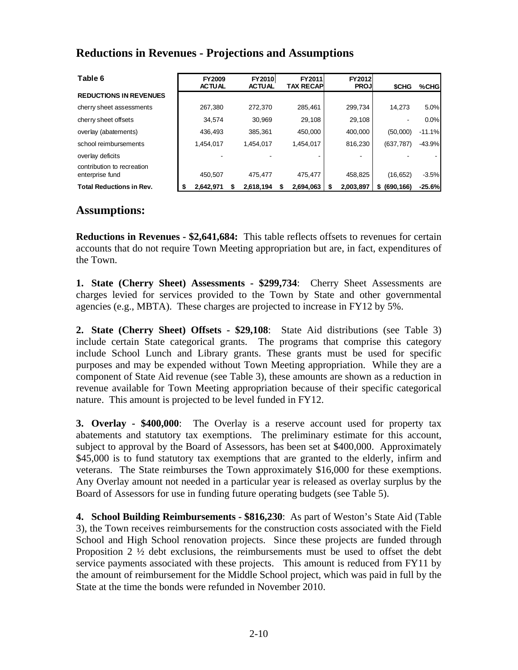| Table 6                                       |   | <b>FY2009</b><br><b>ACTUAL</b> | <b>FY2010</b><br><b>ACTUAL</b> | FY2011<br><b>TAX RECAPI</b> | <b>FY2012</b><br><b>PROJ</b> | <b>SCHG</b>     | %CHG     |
|-----------------------------------------------|---|--------------------------------|--------------------------------|-----------------------------|------------------------------|-----------------|----------|
| <b>REDUCTIONS IN REVENUES</b>                 |   |                                |                                |                             |                              |                 |          |
| cherry sheet assessments                      |   | 267.380                        | 272.370                        | 285,461                     | 299,734                      | 14.273          | 5.0%     |
| cherry sheet offsets                          |   | 34,574                         | 30,969                         | 29,108                      | 29,108                       |                 | 0.0%     |
| overlay (abatements)                          |   | 436,493                        | 385.361                        | 450.000                     | 400,000                      | (50,000)        | $-11.1%$ |
| school reimbursements                         |   | 1,454,017                      | 1.454.017                      | 1.454.017                   | 816,230                      | (637, 787)      | $-43.9%$ |
| overlay deficits                              |   |                                |                                |                             |                              |                 |          |
| contribution to recreation<br>enterprise fund |   | 450.507                        | 475.477                        | 475.477                     | 458.825                      | (16, 652)       | $-3.5%$  |
| <b>Total Reductions in Rev.</b>               | S | 2.642.971                      | 2,618,194                      | 2.694.063                   | 2,003,897                    | (690, 166)<br>S | $-25.6%$ |

## **Reductions in Revenues - Projections and Assumptions**

#### **Assumptions:**

**Reductions in Revenues - \$2,641,684:** This table reflects offsets to revenues for certain accounts that do not require Town Meeting appropriation but are, in fact, expenditures of the Town.

**1. State (Cherry Sheet) Assessments - \$299,734**: Cherry Sheet Assessments are charges levied for services provided to the Town by State and other governmental agencies (e.g., MBTA). These charges are projected to increase in FY12 by 5%.

**2. State (Cherry Sheet) Offsets - \$29,108**: State Aid distributions (see Table 3) include certain State categorical grants. The programs that comprise this category include School Lunch and Library grants. These grants must be used for specific purposes and may be expended without Town Meeting appropriation. While they are a component of State Aid revenue (see Table 3), these amounts are shown as a reduction in revenue available for Town Meeting appropriation because of their specific categorical nature. This amount is projected to be level funded in FY12.

**3. Overlay - \$400,000**: The Overlay is a reserve account used for property tax abatements and statutory tax exemptions. The preliminary estimate for this account, subject to approval by the Board of Assessors, has been set at \$400,000. Approximately \$45,000 is to fund statutory tax exemptions that are granted to the elderly, infirm and veterans. The State reimburses the Town approximately \$16,000 for these exemptions. Any Overlay amount not needed in a particular year is released as overlay surplus by the Board of Assessors for use in funding future operating budgets (see Table 5).

**4. School Building Reimbursements - \$816,230**: As part of Weston's State Aid (Table 3), the Town receives reimbursements for the construction costs associated with the Field School and High School renovation projects. Since these projects are funded through Proposition 2 ½ debt exclusions, the reimbursements must be used to offset the debt service payments associated with these projects. This amount is reduced from FY11 by the amount of reimbursement for the Middle School project, which was paid in full by the State at the time the bonds were refunded in November 2010.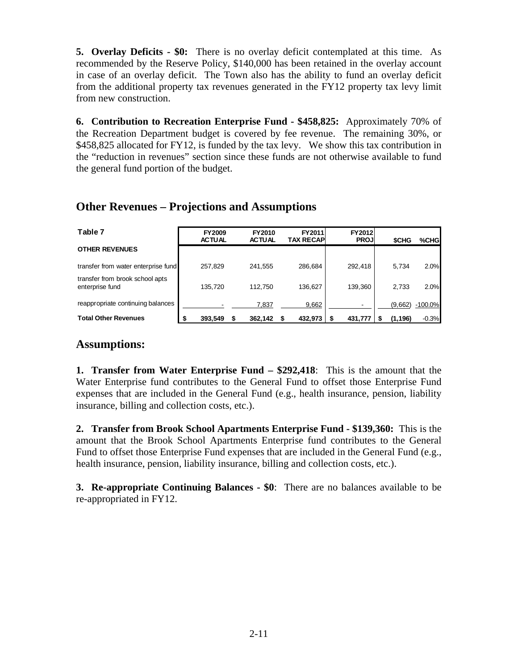**5. Overlay Deficits - \$0:** There is no overlay deficit contemplated at this time. As recommended by the Reserve Policy, \$140,000 has been retained in the overlay account in case of an overlay deficit. The Town also has the ability to fund an overlay deficit from the additional property tax revenues generated in the FY12 property tax levy limit from new construction.

**6. Contribution to Recreation Enterprise Fund - \$458,825:** Approximately 70% of the Recreation Department budget is covered by fee revenue. The remaining 30%, or \$458,825 allocated for FY12, is funded by the tax levy. We show this tax contribution in the "reduction in revenues" section since these funds are not otherwise available to fund the general fund portion of the budget.

### **Other Revenues – Projections and Assumptions**

| Table 7                                            | <b>FY2009</b><br><b>ACTUAL</b> | FY2010<br><b>ACTUAL</b> | FY2011<br><b>TAX RECAPI</b> | <b>FY2012</b><br><b>PROJ</b> | <b>SCHG</b> | %CHG      |
|----------------------------------------------------|--------------------------------|-------------------------|-----------------------------|------------------------------|-------------|-----------|
| <b>OTHER REVENUES</b>                              |                                |                         |                             |                              |             |           |
| transfer from water enterprise fund                | 257,829                        | 241,555                 | 286,684                     | 292,418                      | 5.734       | 2.0%      |
| transfer from brook school apts<br>enterprise fund | 135,720                        | 112,750                 | 136,627                     | 139,360                      | 2.733       | 2.0%      |
| reappropriate continuing balances                  |                                | 7,837                   | 9,662                       |                              | (9,662)     | $-100.0%$ |
| <b>Total Other Revenues</b>                        | 393,549                        | 362,142                 | 432,973                     | 431.777                      | (1, 196)    | $-0.3%$   |

### **Assumptions:**

**1. Transfer from Water Enterprise Fund – \$292,418**: This is the amount that the Water Enterprise fund contributes to the General Fund to offset those Enterprise Fund expenses that are included in the General Fund (e.g., health insurance, pension, liability insurance, billing and collection costs, etc.).

**2. Transfer from Brook School Apartments Enterprise Fund - \$139,360:** This is the amount that the Brook School Apartments Enterprise fund contributes to the General Fund to offset those Enterprise Fund expenses that are included in the General Fund (e.g., health insurance, pension, liability insurance, billing and collection costs, etc.).

**3. Re-appropriate Continuing Balances - \$0**: There are no balances available to be re-appropriated in FY12.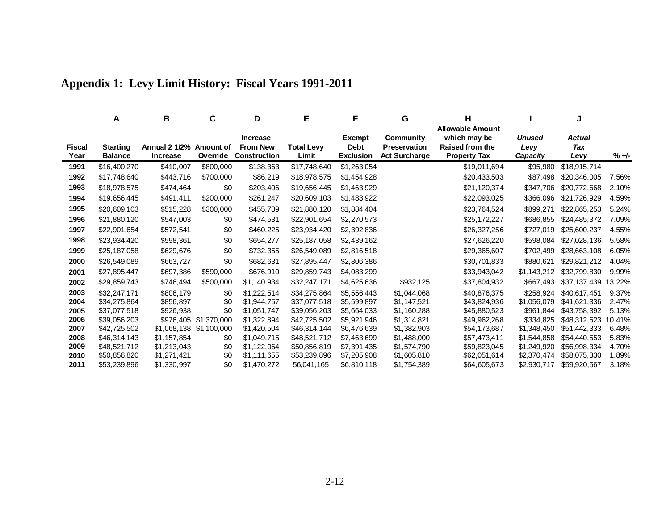|                | A                                 | В                                          | С                       | D                                                  | Е                          | F                                                | G                                                        | н                                                                                        |                            | J                     |          |
|----------------|-----------------------------------|--------------------------------------------|-------------------------|----------------------------------------------------|----------------------------|--------------------------------------------------|----------------------------------------------------------|------------------------------------------------------------------------------------------|----------------------------|-----------------------|----------|
| Fiscal<br>Year | <b>Starting</b><br><b>Balance</b> | Annual 2 1/2% Amount of<br><b>Increase</b> | Override                | <b>Increase</b><br><b>From New</b><br>Construction | <b>Total Levv</b><br>Limit | <b>Exempt</b><br><b>Debt</b><br><b>Exclusion</b> | Community<br><b>Preservation</b><br><b>Act Surcharge</b> | <b>Allowable Amount</b><br>which may be<br><b>Raised from the</b><br><b>Property Tax</b> | Unused<br>Levy<br>Capacity | Actual<br>Tax<br>Levy | $% +1 -$ |
| 1991           | \$16,400,270                      | \$410,007                                  | \$800,000               | \$138,363                                          | \$17,748,640               | \$1,263,054                                      |                                                          | \$19,011,694                                                                             | \$95,980                   | \$18,915,714          |          |
| 1992           | \$17,748,640                      | \$443,716                                  | \$700,000               | \$86,219                                           | \$18,978,575               | \$1,454,928                                      |                                                          | \$20,433,503                                                                             | \$87,498                   | \$20,346,005          | 7.56%    |
| 1993           | \$18,978,575                      | \$474,464                                  | \$0                     | \$203,406                                          | \$19,656,445               | \$1,463,929                                      |                                                          | \$21,120,374                                                                             | \$347,706                  | \$20,772,668          | 2.10%    |
| 1994           | \$19,656,445                      | \$491,411                                  | \$200,000               | \$261,247                                          | \$20,609,103               | \$1,483,922                                      |                                                          | \$22,093,025                                                                             | \$366,096                  | \$21,726,929          | 4.59%    |
| 1995           | \$20,609,103                      | \$515,228                                  | \$300,000               | \$455,789                                          | \$21,880,120               | \$1,884,404                                      |                                                          | \$23,764,524                                                                             | \$899,271                  | \$22,865,253          | 5.24%    |
| 1996           | \$21,880,120                      | \$547,003                                  | \$0                     | \$474,531                                          | \$22,901,654               | \$2,270,573                                      |                                                          | \$25,172,227                                                                             | \$686,855                  | \$24,485,372          | 7.09%    |
| 1997           | \$22,901,654                      | \$572,541                                  | \$0                     | \$460,225                                          | \$23,934,420               | \$2,392,836                                      |                                                          | \$26,327,256                                                                             | \$727,019                  | \$25,600,237          | 4.55%    |
| 1998           | \$23,934,420                      | \$598,361                                  | \$0                     | \$654,277                                          | \$25,187,058               | \$2,439,162                                      |                                                          | \$27,626,220                                                                             | \$598,084                  | \$27,028,136          | 5.58%    |
| 1999           | \$25,187,058                      | \$629,676                                  | \$0                     | \$732,355                                          | \$26,549,089               | \$2,816,518                                      |                                                          | \$29,365,607                                                                             | \$702,499                  | \$28,663,108          | 6.05%    |
| 2000           | \$26,549,089                      | \$663,727                                  | \$0                     | \$682,631                                          | \$27,895,447               | \$2,806,386                                      |                                                          | \$30,701,833                                                                             | \$880,621                  | \$29,821,212          | 4.04%    |
| 2001           | \$27,895,447                      | \$697,386                                  | \$590,000               | \$676,910                                          | \$29,859,743               | \$4,083,299                                      |                                                          | \$33,943,042                                                                             | \$1,143,212                | \$32,799,830          | 9.99%    |
| 2002           | \$29,859,743                      | \$746,494                                  | \$500,000               | \$1,140,934                                        | \$32,247,171               | \$4,625,636                                      | \$932,125                                                | \$37,804,932                                                                             | \$667,493                  | \$37,137,439          | 13.22%   |
| 2003           | \$32,247,171                      | \$806,179                                  | \$0                     | \$1,222,514                                        | \$34,275,864               | \$5,556,443                                      | \$1.044.068                                              | \$40,876,375                                                                             | \$258,924                  | \$40,617,451          | 9.37%    |
| 2004           | \$34,275,864                      | \$856,897                                  | \$0                     | \$1,944,757                                        | \$37,077,518               | \$5,599,897                                      | \$1,147,521                                              | \$43,824,936                                                                             | \$1,056,079                | \$41,621,336          | 2.47%    |
| 2005           | \$37,077,518                      | \$926,938                                  | \$0                     | \$1,051,747                                        | \$39,056,203               | \$5,664,033                                      | \$1,160,288                                              | \$45,880,523                                                                             | \$961.844                  | \$43,758,392          | 5.13%    |
| 2006           | \$39,056,203                      |                                            | \$976,405 \$1,370,000   | \$1,322,894                                        | \$42,725,502               | \$5,921,946                                      | \$1,314,821                                              | \$49,962,268                                                                             | \$334,825                  | \$48,312,623          | 10.41%   |
| 2007           | \$42,725,502                      |                                            | \$1,068,138 \$1,100,000 | \$1,420,504                                        | \$46,314,144               | \$6,476,639                                      | \$1,382,903                                              | \$54,173,687                                                                             | \$1,348,450                | \$51,442,333          | 6.48%    |
| 2008           | \$46,314,143                      | \$1,157,854                                | \$0                     | \$1,049,715                                        | \$48,521,712               | \$7,463,699                                      | \$1,488,000                                              | \$57,473,411                                                                             | \$1,544,858                | \$54,440,553          | 5.83%    |
| 2009           | \$48.521.712                      | \$1,213,043                                | \$0                     | \$1,122,064                                        | \$50,856,819               | \$7,391,435                                      | \$1,574,790                                              | \$59,823,045                                                                             | \$1,249,920                | \$56,998,334          | 4.70%    |
| 2010           | \$50,856,820                      | \$1,271,421                                | \$0                     | \$1,111,655                                        | \$53,239,896               | \$7,205,908                                      | \$1,605,810                                              | \$62,051,614                                                                             | \$2,370,474                | \$58,075,330          | 1.89%    |
| 2011           | \$53,239,896                      | \$1,330,997                                | \$0                     | \$1,470,272                                        | 56,041,165                 | \$6,810,118                                      | \$1,754,389                                              | \$64,605,673                                                                             | \$2,930,717                | \$59,920,567          | 3.18%    |

# **Appendix 1: Levy Limit History: Fiscal Years 1991-2011**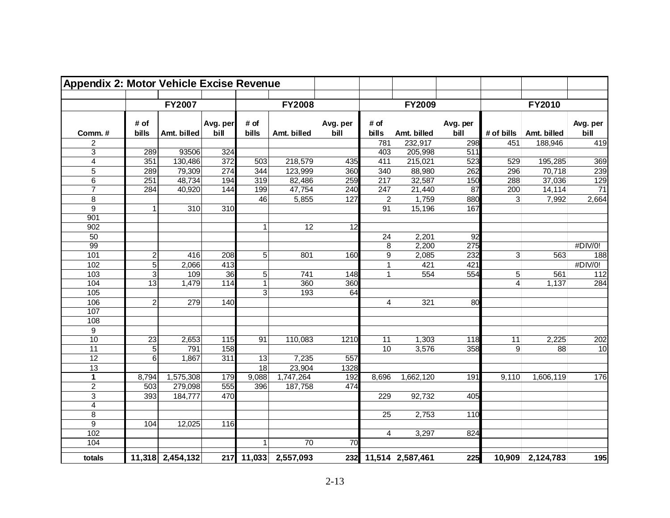| <b>Appendix 2: Motor Vehicle Excise Revenue</b> |                 |                  |          |                 |                      |                 |                  |                      |                  |                |                  |                 |
|-------------------------------------------------|-----------------|------------------|----------|-----------------|----------------------|-----------------|------------------|----------------------|------------------|----------------|------------------|-----------------|
|                                                 |                 | <b>FY2007</b>    |          |                 | <b>FY2008</b>        |                 |                  | <b>FY2009</b>        |                  |                | FY2010           |                 |
|                                                 | # of            |                  | Avg. per | # of            |                      | Avg. per        | # of             |                      | Avg. per         |                |                  | Avg. per        |
| Comm.#                                          | bills           | Amt. billed      | bill     | bills           | Amt. billed          | bill            | bills            | Amt. billed          | bill             | # of bills     | Amt. billed      | bill            |
| $\boldsymbol{2}$                                |                 |                  |          |                 |                      |                 | 781              | 232,917              | 298              | 451            | 188,946          | 419             |
| $\overline{3}$                                  | 289             | 93506            | 324      |                 |                      |                 | 403              | 205,998              | $\overline{511}$ |                |                  |                 |
| $\overline{4}$                                  | 351             | 130,486          | 372      | 503             | 218,579              | 435             | 411              | 215,021              | 523              | 529            | 195,285          | 369             |
| $\overline{5}$                                  | 289             | 79,309           | 274      | 344             | 123,999              | 360             | 340              | 88,980               | 262              | 296            | 70,718           | 239             |
| 6                                               | 251             | 48,734           | 194      | 319             | 82,486               | 259             | 217              | 32,587               | 150              | 288            | 37,036           | 129             |
| $\overline{7}$                                  | 284             | 40,920           | 144      | 199             | 47,754               | 240             | $\overline{247}$ | 21,440               | 87               | 200            | 14,114           | $\overline{71}$ |
| 8                                               |                 |                  |          | 46              | 5,855                | 127             | $\overline{c}$   | 1,759                | 880              | 3 <sup>1</sup> | 7,992            | 2,664           |
| 9                                               | $\overline{1}$  | 310              | 310      |                 |                      |                 | 91               | 15,196               | 167              |                |                  |                 |
| 901                                             |                 |                  |          |                 |                      |                 |                  |                      |                  |                |                  |                 |
| 902                                             |                 |                  |          |                 | 12                   | 12              |                  |                      |                  |                |                  |                 |
| 50                                              |                 |                  |          |                 |                      |                 | 24               | 2,201                | 92               |                |                  |                 |
| 99                                              |                 |                  |          |                 |                      |                 | $\overline{8}$   | 2,200                | $\overline{275}$ |                |                  | #DIV/0!         |
| 101                                             | $\overline{c}$  | 416              | 208      | 5 <sub>l</sub>  | 801                  | 160             | $\vert 9 \vert$  | 2,085                | 232              | $\overline{3}$ | 563              | 188             |
| 102                                             | $\sqrt{5}$      | 2,066            | 413      |                 |                      |                 | $\mathbf{1}$     | 421                  | 421              |                |                  | #DIV/0!         |
| 103                                             | 3               | 109              | 36       | 5 <sup>5</sup>  | 741                  | 148             | $\mathbf 1$      | 554                  | 554              | 5              | 561              | 112             |
| 104                                             | 13              | 1,479            | 114      |                 | 360                  | 360             |                  |                      |                  | $\overline{4}$ | 1,137            | 284             |
| $\frac{105}{105}$                               |                 |                  |          | 3               | 193                  | 64              |                  |                      |                  |                |                  |                 |
| 106                                             | $\overline{2}$  | 279              | 140      |                 |                      |                 | 4                | 321                  | 80               |                |                  |                 |
| 107                                             |                 |                  |          |                 |                      |                 |                  |                      |                  |                |                  |                 |
| 108                                             |                 |                  |          |                 |                      |                 |                  |                      |                  |                |                  |                 |
| 9                                               |                 |                  |          |                 |                      |                 |                  |                      |                  |                |                  |                 |
| $\overline{10}$                                 | $\overline{23}$ | 2,653            | 115      | $\overline{91}$ | 110,083              | 1210            | 11               | 1,303                | 118              | 11             | 2,225            | 202             |
| $\overline{11}$                                 | 5               | 791              | 158      |                 |                      |                 | 10               | 3,576                | 358              | 9              | $\overline{88}$  | 10              |
| $\overline{12}$                                 | 6               | 1,867            | 311      | 13              | 7,235                | 557             |                  |                      |                  |                |                  |                 |
| 13                                              |                 |                  |          | $\overline{18}$ | 23,904               | 1328            |                  |                      |                  |                |                  |                 |
| $\mathbf{1}$                                    | 8,794           | 1,575,308        | 179      | 9,088           | 1,747,264            | 192             | 8,696            | 1,662,120            | 191              | 9,110          | 1,606,119        | 176             |
| $\overline{2}$                                  | 503             | 279,098          | 555      | 396             | 187,758              | 474             |                  |                      |                  |                |                  |                 |
| $\ensuremath{\mathsf{3}}$                       | 393             | 184,777          | 470      |                 |                      |                 | 229              | 92,732               | 405              |                |                  |                 |
| $\overline{4}$                                  |                 |                  |          |                 |                      |                 |                  |                      |                  |                |                  |                 |
| 8                                               |                 |                  |          |                 |                      |                 | 25               | 2,753                | 110              |                |                  |                 |
| $\overline{9}$                                  | 104             | 12,025           | 116      |                 |                      |                 |                  |                      |                  |                |                  |                 |
| 102                                             |                 |                  |          |                 |                      |                 | $\vert$          | 3,297                | 824              |                |                  |                 |
| 104                                             |                 |                  |          |                 | $\overline{70}$      | $\overline{70}$ |                  |                      |                  |                |                  |                 |
| totals                                          |                 | 11,318 2,454,132 |          |                 | 217 11,033 2,557,093 |                 |                  | 232 11,514 2,587,461 | 225              |                | 10,909 2,124,783 | 195             |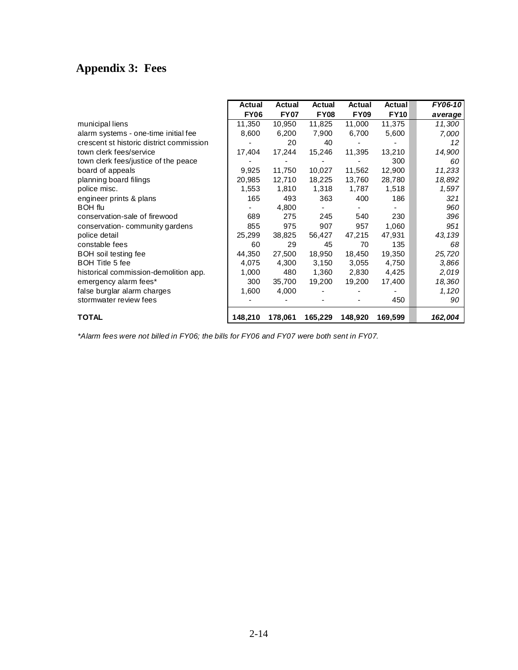# **Appendix 3: Fees**

|                                          | <b>Actual</b> | Actual      | <b>Actual</b> | Actual      | Actual      | FY06-10 |
|------------------------------------------|---------------|-------------|---------------|-------------|-------------|---------|
|                                          | <b>FY06</b>   | <b>FY07</b> | <b>FY08</b>   | <b>FY09</b> | <b>FY10</b> | average |
| municipal liens                          | 11,350        | 10,950      | 11,825        | 11,000      | 11,375      | 11,300  |
| alarm systems - one-time initial fee     | 8,600         | 6,200       | 7,900         | 6,700       | 5,600       | 7,000   |
| crescent st historic district commission |               | 20          | 40            |             |             | 12      |
| town clerk fees/service                  | 17,404        | 17,244      | 15,246        | 11,395      | 13,210      | 14,900  |
| town clerk fees/justice of the peace     |               |             |               |             | 300         | 60      |
| board of appeals                         | 9,925         | 11,750      | 10,027        | 11,562      | 12,900      | 11,233  |
| planning board filings                   | 20,985        | 12,710      | 18,225        | 13,760      | 28,780      | 18,892  |
| police misc.                             | 1,553         | 1,810       | 1,318         | 1,787       | 1,518       | 1,597   |
| engineer prints & plans                  | 165           | 493         | 363           | 400         | 186         | 321     |
| <b>BOH</b> flu                           |               | 4,800       |               |             |             | 960     |
| conservation-sale of firewood            | 689           | 275         | 245           | 540         | 230         | 396     |
| conservation-community gardens           | 855           | 975         | 907           | 957         | 1,060       | 951     |
| police detail                            | 25,299        | 38,825      | 56,427        | 47,215      | 47,931      | 43,139  |
| constable fees                           | 60            | 29          | 45            | 70          | 135         | 68      |
| BOH soil testing fee                     | 44,350        | 27,500      | 18,950        | 18,450      | 19,350      | 25,720  |
| <b>BOH Title 5 fee</b>                   | 4,075         | 4,300       | 3,150         | 3,055       | 4,750       | 3,866   |
| historical commission-demolition app.    | 1,000         | 480         | 1,360         | 2,830       | 4,425       | 2,019   |
| emergency alarm fees*                    | 300           | 35,700      | 19,200        | 19,200      | 17,400      | 18,360  |
| false burglar alarm charges              | 1,600         | 4,000       |               |             |             | 1,120   |
| stormwater review fees                   |               |             |               |             | 450         | 90      |
| <b>TOTAL</b>                             | 148,210       | 178,061     | 165,229       | 148,920     | 169,599     | 162,004 |

*\*Alarm fees were not billed in FY06; the bills for FY06 and FY07 were both sent in FY07.*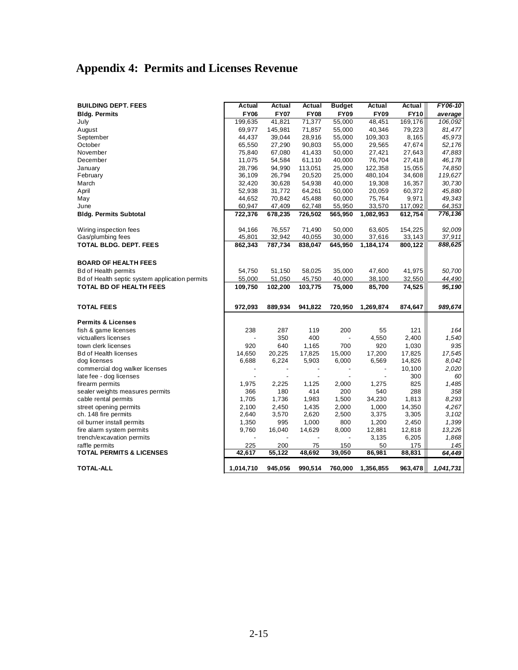# **Appendix 4: Permits and Licenses Revenue**

| <b>BUILDING DEPT. FEES</b>                     | <b>Actual</b>   | Actual                   | Actual          | <b>Budget</b>   | Actual          | Actual           | FY06-10         |
|------------------------------------------------|-----------------|--------------------------|-----------------|-----------------|-----------------|------------------|-----------------|
| <b>Bldg. Permits</b>                           | <b>FY06</b>     | <b>FY07</b>              | <b>FY08</b>     | <b>FY09</b>     | <b>FY09</b>     | <b>FY10</b>      | average         |
| July                                           | 199,635         | 41,821                   | 71,377          | 55,000          | 48.451          | 169,176          | 106.092         |
| August                                         | 69,977          | 145,981                  | 71,857          | 55,000          | 40,346          | 79,223           | 81,477          |
| September                                      | 44,437          | 39,044                   | 28,916          | 55,000          | 109,303         | 8,165            | 45,973          |
| October                                        | 65,550          | 27,290                   | 90,803          | 55,000          | 29,565          | 47,674           | 52,176          |
| November                                       | 75,840          | 67,080                   | 41,433          | 50,000          | 27,421          | 27,643           | 47,883          |
| December                                       | 11,075          | 54,584                   | 61,110          | 40,000          | 76,704          | 27,418           | 46,178          |
| January                                        | 28,796          | 94,990                   | 113,051         | 25,000          | 122,358         | 15,055           | 74,850          |
| February                                       | 36,109          | 26,794                   | 20,520          | 25,000          | 480,104         | 34,608           | 119,627         |
| March                                          | 32,420          | 30,628                   | 54,938          | 40,000          | 19,308          | 16,357           | 30,730          |
| April                                          | 52,938          | 31,772                   | 64,261          | 50,000          | 20,059          | 60,372           | 45,880          |
| May                                            | 44,652          | 70,842                   | 45,488          | 60,000          | 75,764          | 9,971            | 49,343          |
| June                                           | 60,947          | 47,409                   | 62,748          | 55,950          | 33,570          | 117,092          | 64,353          |
| <b>Bldg. Permits Subtotal</b>                  | 722,376         | 678,235                  | 726,502         | 565,950         | 1,082,953       | 612,754          | 776,136         |
| Wiring inspection fees                         | 94,166          | 76,557                   | 71,490          | 50,000          | 63,605          | 154,225          | 92,009          |
| Gas/plumbing fees                              | 45,801          | 32,942                   | 40,055          | 30,000          | 37,616          | 33,143           | 37,911          |
| TOTAL BLDG. DEPT. FEES                         | 862,343         | 787,734                  | 838,047         | 645,950         | 1,184,174       | 800,122          | 888,625         |
|                                                |                 |                          |                 |                 |                 |                  |                 |
| <b>BOARD OF HEALTH FEES</b>                    |                 |                          |                 |                 |                 |                  |                 |
| <b>Bd of Health permits</b>                    | 54,750          | 51,150                   | 58,025          | 35,000          | 47,600          | 41,975           | 50,700          |
| Bd of Health septic system application permits | 55,000          | 51,050                   | 45,750          | 40,000          | 38,100          | 32,550           | 44,490          |
| <b>TOTAL BD OF HEALTH FEES</b>                 | 109,750         | 102,200                  | 103,775         | 75,000          | 85,700          | 74,525           | 95,190          |
| <b>TOTAL FEES</b>                              | 972,093         | 889,934                  | 941,822         | 720,950         | 1,269,874       | 874,647          | 989,674         |
|                                                |                 |                          |                 |                 |                 |                  |                 |
| <b>Permits &amp; Licenses</b>                  |                 |                          |                 |                 |                 |                  |                 |
| fish & game licenses                           | 238             | 287                      | 119             | 200             | 55              | 121              | 164             |
| victuallers licenses                           |                 | 350                      | 400             |                 | 4,550           | 2,400            | 1,540           |
| town clerk licenses                            | 920             | 640                      | 1,165           | 700             | 920             | 1,030            | 935             |
| <b>Bd of Health licenses</b><br>dog licenses   | 14,650<br>6,688 | 20,225<br>6,224          | 17,825<br>5,903 | 15,000<br>6,000 | 17,200<br>6,569 | 17,825<br>14,826 | 17,545<br>8,042 |
| commercial dog walker licenses                 |                 | $\overline{\phantom{a}}$ | $\overline{a}$  | $\overline{a}$  | $\overline{a}$  | 10,100           | 2,020           |
| late fee - dog licenses                        |                 |                          |                 |                 |                 | 300              | 60              |
| firearm permits                                | 1,975           | 2,225                    | 1,125           | 2,000           | 1,275           | 825              | 1,485           |
| sealer weights measures permits                | 366             | 180                      | 414             | 200             | 540             | 288              | 358             |
| cable rental permits                           | 1,705           | 1,736                    | 1,983           | 1,500           | 34,230          | 1,813            | 8,293           |
| street opening permits                         | 2,100           | 2,450                    | 1,435           | 2,000           | 1,000           | 14,350           | 4,267           |
| ch. 148 fire permits                           | 2,640           | 3,570                    | 2,620           | 2,500           | 3,375           | 3,305            | 3,102           |
| oil burner install permits                     | 1,350           | 995                      | 1,000           | 800             | 1,200           | 2,450            | 1,399           |
| fire alarm system permits                      | 9,760           | 16,040                   | 14,629          | 8,000           | 12,881          | 12,818           | 13,226          |
| trench/excavation permits                      |                 |                          |                 |                 | 3,135           | 6,205            | 1,868           |
| raffle permits                                 | 225             | 200                      | 75              | 150             | 50              | 175              | 145             |
| <b>TOTAL PERMITS &amp; LICENSES</b>            | 42,617          | 55,122                   | 48,692          | 39,050          | 86,981          | 88,831           | 64,449          |
| <b>TOTAL-ALL</b>                               | 1,014,710       | 945,056                  | 990,514         | 760,000         | 1,356,855       | 963,478          | 1,041,731       |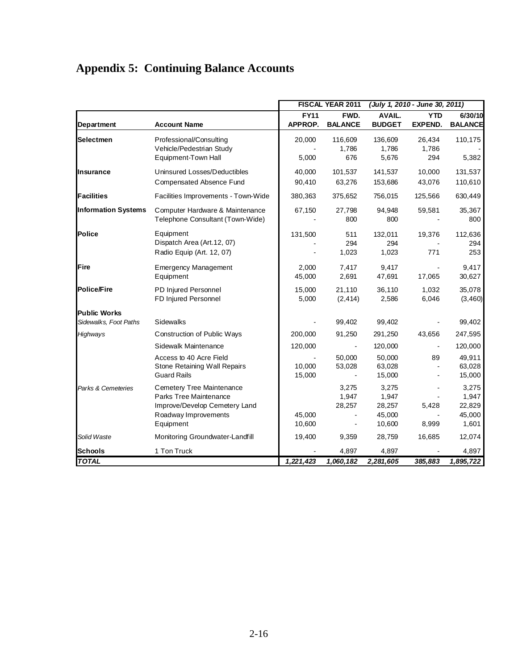# **Appendix 5: Continuing Balance Accounts**

|                            |                                                                                                                           |                        | FISCAL YEAR 2011                                             | (July 1, 2010 - June 30, 2011)               |                              |                                             |  |
|----------------------------|---------------------------------------------------------------------------------------------------------------------------|------------------------|--------------------------------------------------------------|----------------------------------------------|------------------------------|---------------------------------------------|--|
| Department                 | <b>Account Name</b>                                                                                                       | <b>FY11</b><br>APPROP. | FWD.<br><b>BALANCE</b>                                       | AVAIL.<br><b>BUDGET</b>                      | <b>YTD</b><br><b>EXPEND.</b> | 6/30/10<br><b>BALANCE</b>                   |  |
| Selectmen                  | Professional/Consulting<br>Vehicle/Pedestrian Study<br>Equipment-Town Hall                                                | 20,000<br>5,000        | 116,609<br>1,786<br>676                                      | 136,609<br>1,786<br>5,676                    | 26,434<br>1,786<br>294       | 110,175<br>5,382                            |  |
| Insurance                  | Uninsured Losses/Deductibles<br>Compensated Absence Fund                                                                  | 40,000<br>90,410       | 101,537<br>63,276                                            | 141,537<br>153,686                           | 10,000<br>43,076             | 131,537<br>110,610                          |  |
| <b>Facilities</b>          | Facilities Improvements - Town-Wide                                                                                       | 380,363                | 375,652                                                      | 756,015                                      | 125,566                      | 630,449                                     |  |
| <b>Information Systems</b> | Computer Hardware & Maintenance<br>Telephone Consultant (Town-Wide)                                                       | 67,150                 | 27,798<br>800                                                | 94,948<br>800                                | 59,581                       | 35,367<br>800                               |  |
| Police                     | Equipment<br>Dispatch Area (Art.12, 07)<br>Radio Equip (Art. 12, 07)                                                      | 131,500                | 511<br>294<br>1,023                                          | 132,011<br>294<br>1,023                      | 19,376<br>771                | 112,636<br>294<br>253                       |  |
| Fire                       | <b>Emergency Management</b><br>Equipment                                                                                  | 2,000<br>45,000        | 7,417<br>2,691                                               | 9,417<br>47,691                              | 17,065                       | 9,417<br>30,627                             |  |
| <b>Police/Fire</b>         | PD Injured Personnel<br>FD Injured Personnel                                                                              | 15,000<br>5,000        | 21,110<br>(2, 414)                                           | 36,110<br>2,586                              | 1,032<br>6,046               | 35,078<br>(3,460)                           |  |
| <b>Public Works</b>        |                                                                                                                           |                        |                                                              |                                              |                              |                                             |  |
| Sidewalks, Foot Paths      | Sidewalks                                                                                                                 |                        | 99,402                                                       | 99,402                                       |                              | 99,402                                      |  |
| Highways                   | Construction of Public Ways                                                                                               | 200,000                | 91,250                                                       | 291,250                                      | 43,656                       | 247,595                                     |  |
|                            | Sidewalk Maintenance                                                                                                      | 120,000                | $\blacksquare$                                               | 120,000                                      | $\blacksquare$               | 120,000                                     |  |
|                            | Access to 40 Acre Field<br>Stone Retaining Wall Repairs<br><b>Guard Rails</b>                                             | 10,000<br>15,000       | 50,000<br>53,028<br>$\blacksquare$                           | 50,000<br>63,028<br>15,000                   | 89                           | 49,911<br>63,028<br>15,000                  |  |
| Parks & Cemeteries         | Cemetery Tree Maintenance<br>Parks Tree Maintenance<br>Improve/Develop Cemetery Land<br>Roadway Improvements<br>Equipment | 45,000<br>10,600       | 3,275<br>1,947<br>28,257<br>$\blacksquare$<br>$\blacksquare$ | 3,275<br>1,947<br>28,257<br>45,000<br>10,600 | 5,428<br>8,999               | 3,275<br>1,947<br>22,829<br>45,000<br>1,601 |  |
| Solid Waste                | Monitoring Groundwater-Landfill                                                                                           | 19,400                 | 9,359                                                        | 28,759                                       | 16,685                       | 12,074                                      |  |
| <b>Schools</b>             | 1 Ton Truck                                                                                                               |                        | 4,897                                                        | 4,897                                        |                              | 4,897                                       |  |
| <b>TOTAL</b>               |                                                                                                                           | $\overline{1,221,423}$ | 1,060,182                                                    | 2,281,605                                    | 385,883                      | 1,895,722                                   |  |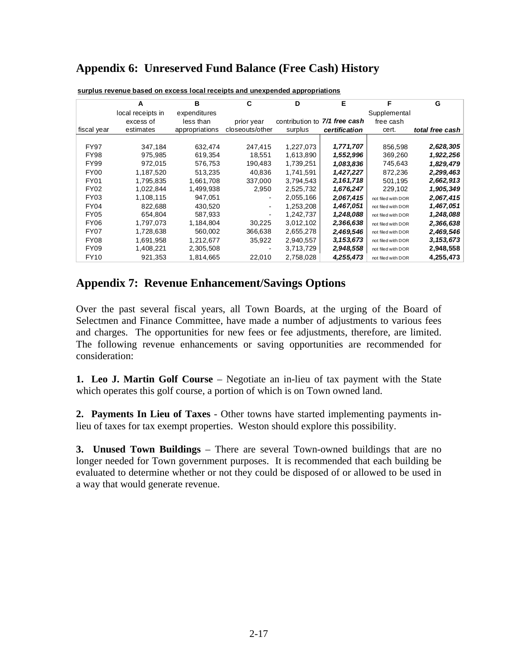## **Appendix 6: Unreserved Fund Balance (Free Cash) History**

|                  | A                 | в              | C               | D               | Е             | F                  | G               |
|------------------|-------------------|----------------|-----------------|-----------------|---------------|--------------------|-----------------|
|                  | local receipts in | expenditures   |                 |                 |               | Supplemental       |                 |
|                  | excess of         | less than      | prior year      | contribution to | 7/1 free cash | free cash          |                 |
| fiscal year      | estimates         | appropriations | closeouts/other | surplus         | certification | cert.              | total free cash |
|                  |                   |                |                 |                 |               |                    |                 |
| <b>FY97</b>      | 347,184           | 632,474        | 247,415         | 1,227,073       | 1,771,707     | 856,598            | 2,628,305       |
| FY98             | 975,985           | 619,354        | 18,551          | 1,613,890       | 1,552,996     | 369,260            | 1,922,256       |
| <b>FY99</b>      | 972.015           | 576,753        | 190,483         | 1,739,251       | 1,083,836     | 745,643            | 1,829,479       |
| FY <sub>00</sub> | 1,187,520         | 513,235        | 40,836          | 1,741,591       | 1,427,227     | 872,236            | 2,299,463       |
| FY01             | 1.795.835         | 1,661,708      | 337,000         | 3,794,543       | 2,161,718     | 501,195            | 2,662,913       |
| FY <sub>02</sub> | 1,022,844         | 1,499,938      | 2,950           | 2,525,732       | 1,676,247     | 229,102            | 1,905,349       |
| <b>FY03</b>      | 1.108.115         | 947,051        |                 | 2,055,166       | 2,067,415     | not filed with DOR | 2,067,415       |
| FY04             | 822.688           | 430,520        |                 | 1,253,208       | 1,467,051     | not filed with DOR | 1,467,051       |
| FY05             | 654,804           | 587,933        |                 | 1,242,737       | 1,248,088     | not filed with DOR | 1,248,088       |
| FY <sub>06</sub> | 1,797,073         | 1.184.804      | 30.225          | 3,012,102       | 2,366,638     | not filed with DOR | 2,366,638       |
| FY07             | 1,728,638         | 560,002        | 366,638         | 2,655,278       | 2,469,546     | not filed with DOR | 2,469,546       |
| FY08             | 1.691.958         | 1,212,677      | 35,922          | 2,940,557       | 3,153,673     | not filed with DOR | 3,153,673       |
| FY09             | 1,408,221         | 2,305,508      |                 | 3,713,729       | 2,948,558     | not filed with DOR | 2,948,558       |
| <b>FY10</b>      | 921,353           | 1,814,665      | 22,010          | 2,758,028       | 4,255,473     | not filed with DOR | 4,255,473       |

**surplus revenue based on excess local receipts and unexpended appropriations**

#### **Appendix 7: Revenue Enhancement/Savings Options**

Over the past several fiscal years, all Town Boards, at the urging of the Board of Selectmen and Finance Committee, have made a number of adjustments to various fees and charges. The opportunities for new fees or fee adjustments, therefore, are limited. The following revenue enhancements or saving opportunities are recommended for consideration:

**1. Leo J. Martin Golf Course** – Negotiate an in-lieu of tax payment with the State which operates this golf course, a portion of which is on Town owned land.

**2. Payments In Lieu of Taxes** - Other towns have started implementing payments inlieu of taxes for tax exempt properties. Weston should explore this possibility.

**3. Unused Town Buildings** – There are several Town-owned buildings that are no longer needed for Town government purposes. It is recommended that each building be evaluated to determine whether or not they could be disposed of or allowed to be used in a way that would generate revenue.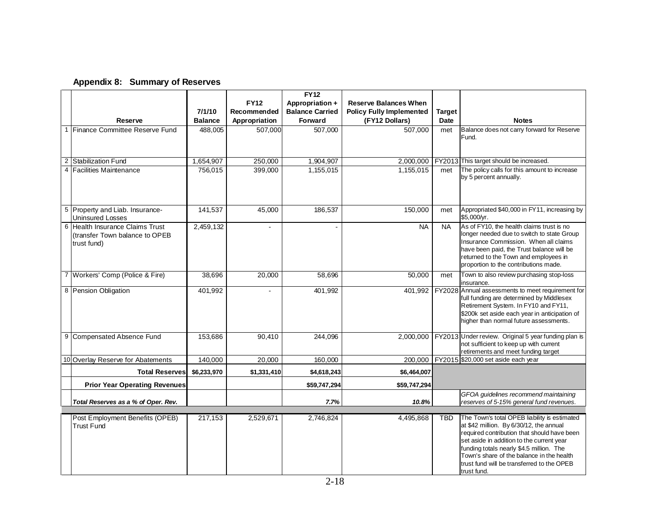|  | Appendix 8: Summary of Reserves |
|--|---------------------------------|
|--|---------------------------------|

|                |                                                                                  |                |               | <b>FY12</b>            |                                 |               |                                                                                                                                                                                                                                                                                                                                           |
|----------------|----------------------------------------------------------------------------------|----------------|---------------|------------------------|---------------------------------|---------------|-------------------------------------------------------------------------------------------------------------------------------------------------------------------------------------------------------------------------------------------------------------------------------------------------------------------------------------------|
|                |                                                                                  |                | <b>FY12</b>   | Appropriation +        | <b>Reserve Balances When</b>    |               |                                                                                                                                                                                                                                                                                                                                           |
|                |                                                                                  | 7/1/10         | Recommended   | <b>Balance Carried</b> | <b>Policy Fully Implemented</b> | <b>Target</b> |                                                                                                                                                                                                                                                                                                                                           |
|                | Reserve                                                                          | <b>Balance</b> | Appropriation | Forward                | (FY12 Dollars)                  | Date          | <b>Notes</b>                                                                                                                                                                                                                                                                                                                              |
|                | 1 Finance Committee Reserve Fund                                                 | 488,005        | 507,000       | 507,000                | 507,000                         | met           | Balance does not carry forward for Reserve<br>Fund.                                                                                                                                                                                                                                                                                       |
| $\overline{2}$ | <b>Stabilization Fund</b>                                                        | 1,654,907      | 250,000       | 1,904,907              | 2,000,000                       |               | FY2013 This target should be increased.                                                                                                                                                                                                                                                                                                   |
|                | 4 Facilities Maintenance                                                         | 756,015        | 399,000       | 1,155,015              | 1,155,015                       | met           | The policy calls for this amount to increase<br>by 5 percent annually.                                                                                                                                                                                                                                                                    |
|                | 5 Property and Liab. Insurance-<br><b>Uninsured Losses</b>                       | 141,537        | 45,000        | 186,537                | 150,000                         | met           | Appropriated \$40,000 in FY11, increasing by<br>\$5,000/yr.                                                                                                                                                                                                                                                                               |
|                | 6 Health Insurance Claims Trust<br>(transfer Town balance to OPEB<br>trust fund) | 2,459,132      | $\mathbf{r}$  |                        | <b>NA</b>                       | <b>NA</b>     | As of FY10, the health claims trust is no<br>longer needed due to switch to state Group<br>Insurance Commission. When all claims<br>have been paid, the Trust balance will be<br>returned to the Town and employees in<br>proportion to the contributions made.                                                                           |
|                | 7 Workers' Comp (Police & Fire)                                                  | 38,696         | 20,000        | 58,696                 | 50,000                          | met           | Town to also review purchasing stop-loss<br>insurance.                                                                                                                                                                                                                                                                                    |
|                | 8 Pension Obligation                                                             | 401,992        |               | 401,992                | 401,992                         |               | FY2028 Annual assessments to meet requirement for<br>full funding are determined by Middlesex<br>Retirement System. In FY10 and FY11,<br>\$200k set aside each year in anticipation of<br>higher than normal future assessments.                                                                                                          |
|                | 9 Compensated Absence Fund                                                       | 153,686        | 90,410        | 244,096                | 2,000,000                       |               | FY2013 Under review. Original 5 year funding plan is<br>not sufficient to keep up with current<br>retirements and meet funding target                                                                                                                                                                                                     |
|                | 10 Overlay Reserve for Abatements                                                | 140,000        | 20,000        | 160,000                | 200.000                         |               | FY2015 \$20,000 set aside each year                                                                                                                                                                                                                                                                                                       |
|                | <b>Total Reserves</b>                                                            | \$6,233,970    | \$1,331,410   | \$4,618,243            | \$6,464,007                     |               |                                                                                                                                                                                                                                                                                                                                           |
|                | <b>Prior Year Operating Revenues</b>                                             |                |               | \$59,747,294           | \$59,747,294                    |               |                                                                                                                                                                                                                                                                                                                                           |
|                | Total Reserves as a % of Oper. Rev.                                              |                |               | 7.7%                   | 10.8%                           |               | GFOA guidelines recommend maintaining<br>reserves of 5-15% general fund revenues.                                                                                                                                                                                                                                                         |
|                | Post Employment Benefits (OPEB)<br><b>Trust Fund</b>                             | 217,153        | 2,529,671     | 2,746,824              | 4,495,868                       | <b>TBD</b>    | The Town's total OPEB liability is estimated<br>at \$42 million. By 6/30/12, the annual<br>required contribution that should have been<br>set aside in addition to the current year<br>funding totals nearly \$4.5 million. The<br>Town's share of the balance in the health<br>trust fund will be transferred to the OPEB<br>trust fund. |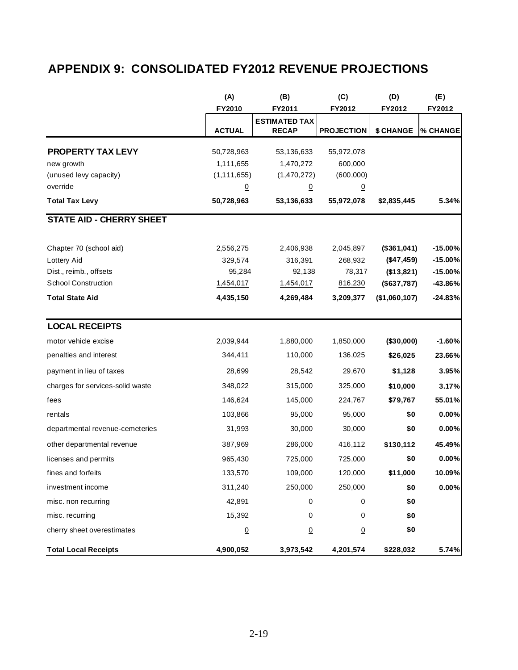# **APPENDIX 9: CONSOLIDATED FY2012 REVENUE PROJECTIONS**

|                                  | (A)             | (B)                                  | (C)               | (D)           | (E)       |
|----------------------------------|-----------------|--------------------------------------|-------------------|---------------|-----------|
|                                  | FY2010          | FY2011                               | FY2012            | FY2012        | FY2012    |
|                                  | <b>ACTUAL</b>   | <b>ESTIMATED TAX</b><br><b>RECAP</b> | <b>PROJECTION</b> | \$ CHANGE     | % CHANGE  |
|                                  |                 |                                      |                   |               |           |
| <b>PROPERTY TAX LEVY</b>         | 50,728,963      | 53,136,633                           | 55,972,078        |               |           |
| new growth                       | 1,111,655       | 1,470,272                            | 600,000           |               |           |
| (unused levy capacity)           | (1, 111, 655)   | (1,470,272)                          | (600, 000)        |               |           |
| override                         | $\underline{0}$ | $\overline{0}$                       | $\overline{0}$    |               |           |
| <b>Total Tax Levy</b>            | 50,728,963      | 53,136,633                           | 55,972,078        | \$2,835,445   | 5.34%     |
| <b>STATE AID - CHERRY SHEET</b>  |                 |                                      |                   |               |           |
| Chapter 70 (school aid)          | 2,556,275       | 2,406,938                            | 2,045,897         | (\$361,041)   | $-15.00%$ |
| Lottery Aid                      | 329,574         | 316,391                              | 268,932           | (\$47,459)    | $-15.00%$ |
| Dist., reimb., offsets           | 95,284          | 92,138                               | 78,317            | (\$13,821)    | $-15.00%$ |
| <b>School Construction</b>       | 1,454,017       | 1,454,017                            | 816,230           | (\$637,787)   | -43.86%   |
| <b>Total State Aid</b>           | 4,435,150       | 4,269,484                            | 3,209,377         | (\$1,060,107) | $-24.83%$ |
| <b>LOCAL RECEIPTS</b>            |                 |                                      |                   |               |           |
| motor vehicle excise             | 2,039,944       | 1,880,000                            | 1,850,000         | (\$30,000)    | $-1.60%$  |
| penalties and interest           | 344,411         | 110,000                              | 136,025           | \$26,025      | 23.66%    |
| payment in lieu of taxes         | 28,699          | 28,542                               | 29,670            | \$1,128       | 3.95%     |
| charges for services-solid waste | 348,022         | 315,000                              | 325,000           | \$10,000      | 3.17%     |
| fees                             | 146,624         | 145,000                              | 224,767           | \$79,767      | 55.01%    |
| rentals                          | 103,866         | 95,000                               | 95,000            | \$0           | 0.00%     |
| departmental revenue-cemeteries  | 31,993          | 30,000                               | 30,000            | \$0           | 0.00%     |
| other departmental revenue       | 387,969         | 286,000                              | 416,112           | \$130,112     | 45.49%    |
| licenses and permits             | 965,430         | 725,000                              | 725,000           | \$0           | 0.00%     |
| fines and forfeits               | 133,570         | 109,000                              | 120,000           | \$11,000      | 10.09%    |
| investment income                | 311,240         | 250,000                              | 250,000           | \$0           | 0.00%     |
| misc. non recurring              | 42,891          | 0                                    | 0                 | \$0           |           |
| misc. recurring                  | 15,392          | 0                                    | 0                 | \$0           |           |
| cherry sheet overestimates       | $\underline{0}$ | $\overline{0}$                       | $\overline{0}$    | \$0           |           |
| <b>Total Local Receipts</b>      | 4,900,052       | 3,973,542                            | 4,201,574         | \$228,032     | 5.74%     |